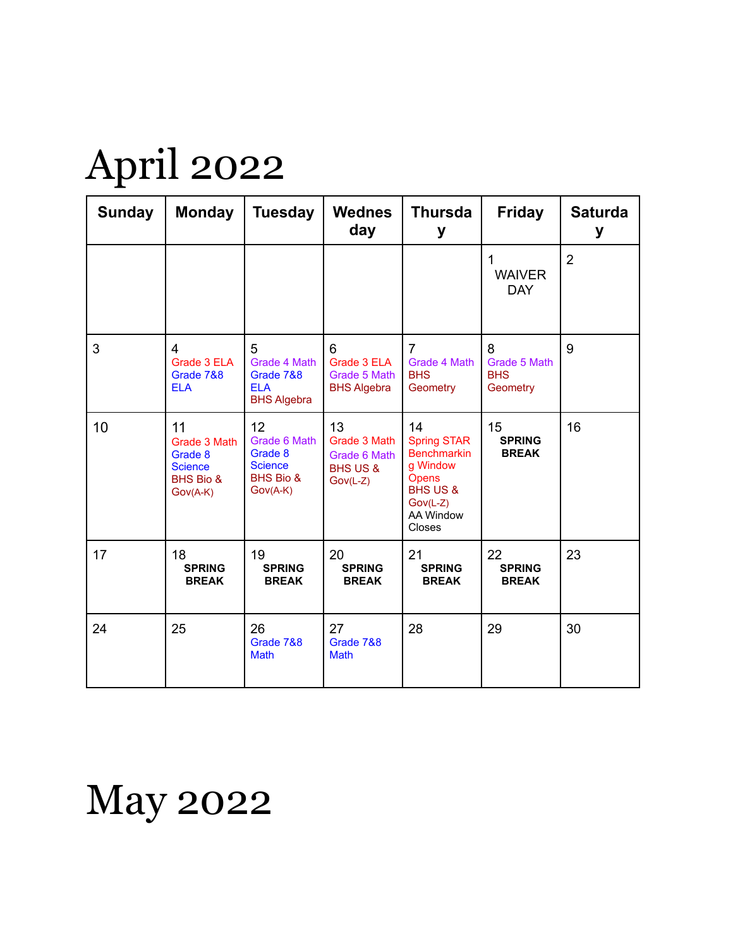## April 2022

| <b>Sunday</b> | <b>Monday</b>                                                              | <b>Tuesday</b>                                                             | <b>Wednes</b><br>day                                                    | <b>Thursda</b><br>у                                                                                                                    | <b>Friday</b>                               | <b>Saturda</b><br>у |
|---------------|----------------------------------------------------------------------------|----------------------------------------------------------------------------|-------------------------------------------------------------------------|----------------------------------------------------------------------------------------------------------------------------------------|---------------------------------------------|---------------------|
|               |                                                                            |                                                                            |                                                                         |                                                                                                                                        | 1<br><b>WAIVER</b><br><b>DAY</b>            | $\overline{2}$      |
| 3             | 4<br>Grade 3 ELA<br>Grade 7&8<br><b>ELA</b>                                | 5<br>Grade 4 Math<br>Grade 7&8<br><b>ELA</b><br><b>BHS Algebra</b>         | 6<br>Grade 3 ELA<br>Grade 5 Math<br><b>BHS Algebra</b>                  | $\overline{7}$<br>Grade 4 Math<br><b>BHS</b><br>Geometry                                                                               | 8<br>Grade 5 Math<br><b>BHS</b><br>Geometry | 9                   |
| 10            | 11<br>Grade 3 Math<br>Grade 8<br><b>Science</b><br>BHS Bio &<br>$Gov(A-K)$ | 12<br>Grade 6 Math<br>Grade 8<br><b>Science</b><br>BHS Bio &<br>$Gov(A-K)$ | 13<br>Grade 3 Math<br>Grade 6 Math<br><b>BHS US &amp;</b><br>$Gov(L-Z)$ | 14<br><b>Spring STAR</b><br><b>Benchmarkin</b><br>g Window<br>Opens<br><b>BHS US &amp;</b><br>$Gov(L-Z)$<br><b>AA Window</b><br>Closes | 15<br><b>SPRING</b><br><b>BREAK</b>         | 16                  |
| 17            | 18<br><b>SPRING</b><br><b>BREAK</b>                                        | 19<br><b>SPRING</b><br><b>BREAK</b>                                        | 20<br><b>SPRING</b><br><b>BREAK</b>                                     | 21<br><b>SPRING</b><br><b>BREAK</b>                                                                                                    | 22<br><b>SPRING</b><br><b>BREAK</b>         | 23                  |
| 24            | 25                                                                         | 26<br>Grade 7&8<br><b>Math</b>                                             | 27<br>Grade 7&8<br><b>Math</b>                                          | 28                                                                                                                                     | 29                                          | 30                  |

May 2022